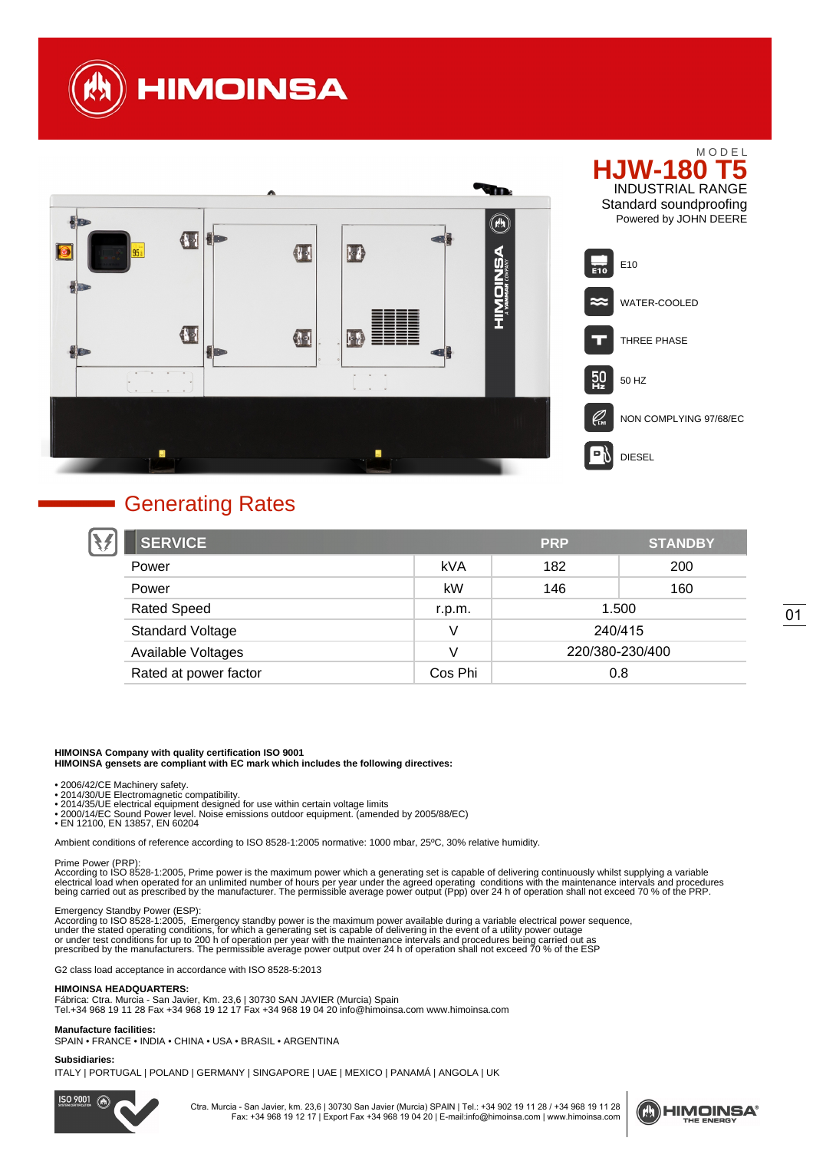



## Generating Rates

| <b>SERVICE</b>          |         | <b>PRP</b>      | <b>STANDBY</b> |
|-------------------------|---------|-----------------|----------------|
| Power                   | kVA     | 182             | 200            |
| Power                   | kW      | 146             | 160            |
| <b>Rated Speed</b>      | r.p.m.  | 1.500           |                |
| <b>Standard Voltage</b> |         | 240/415         |                |
| Available Voltages      | V       | 220/380-230/400 |                |
| Rated at power factor   | Cos Phi | 0.8             |                |

#### **HIMOINSA Company with quality certification ISO 9001**

**HIMOINSA gensets are compliant with EC mark which includes the following directives:**

- 
- 
- 
- ∙ 2006/42/CE Machinery safety.<br>∙ 2014/30/UE Electromagnetic compatibility.<br>∙ 2014/35/UE electrical equipment designed for use within certain voltage limits<br>∙ 2000/14/EC Sound Power level. Noise emissions outdoor equipment
- EN 12100, EN 13857, EN 60204

Ambient conditions of reference according to ISO 8528-1:2005 normative: 1000 mbar, 25ºC, 30% relative humidity.

Prime Power (PRP):<br>According to ISO 8528-1:2005, Prime power is the maximum power which a generating set is capable of delivering continuously whilst supplying a variable<br>electrical load when operated for an unlimited numb

#### Emergency Standby Power (ESP):

According to ISO 8528-1:2005, Emergency standby power is the maximum power available during a variable electrical power sequence,<br>under the stated operating conditions, for which a generating set is capable of delivering prescribed by the manufacturers. The permissible average power output over 24 h of operation shall not exceed 70 % of the ESP

G2 class load acceptance in accordance with ISO 8528-5:2013

#### **HIMOINSA HEADQUARTERS:**

Fábrica: Ctra. Murcia - San Javier, Km. 23,6 | 30730 SAN JAVIER (Murcia) Spain Tel.+34 968 19 11 28 Fax +34 968 19 12 17 Fax +34 968 19 04 20 info@himoinsa.com www.himoinsa.com

#### **Manufacture facilities:**

SPAIN • FRANCE • INDIA • CHINA • USA • BRASIL • ARGENTINA

**Subsidiaries:**

ITALY | PORTUGAL | POLAND | GERMANY | SINGAPORE | UAE | MEXICO | PANAMÁ | ANGOLA | UK

 $ISO$  9001 (A)

Ctra. Murcia - San Javier, km. 23,6 | 30730 San Javier (Murcia) SPAIN | Tel.: +34 902 19 11 28 / +34 968 19 11 28 Fax: +34 968 19 12 17 | Export Fax +34 968 19 04 20 | E-mail:info@himoinsa.com | www.himoinsa.com

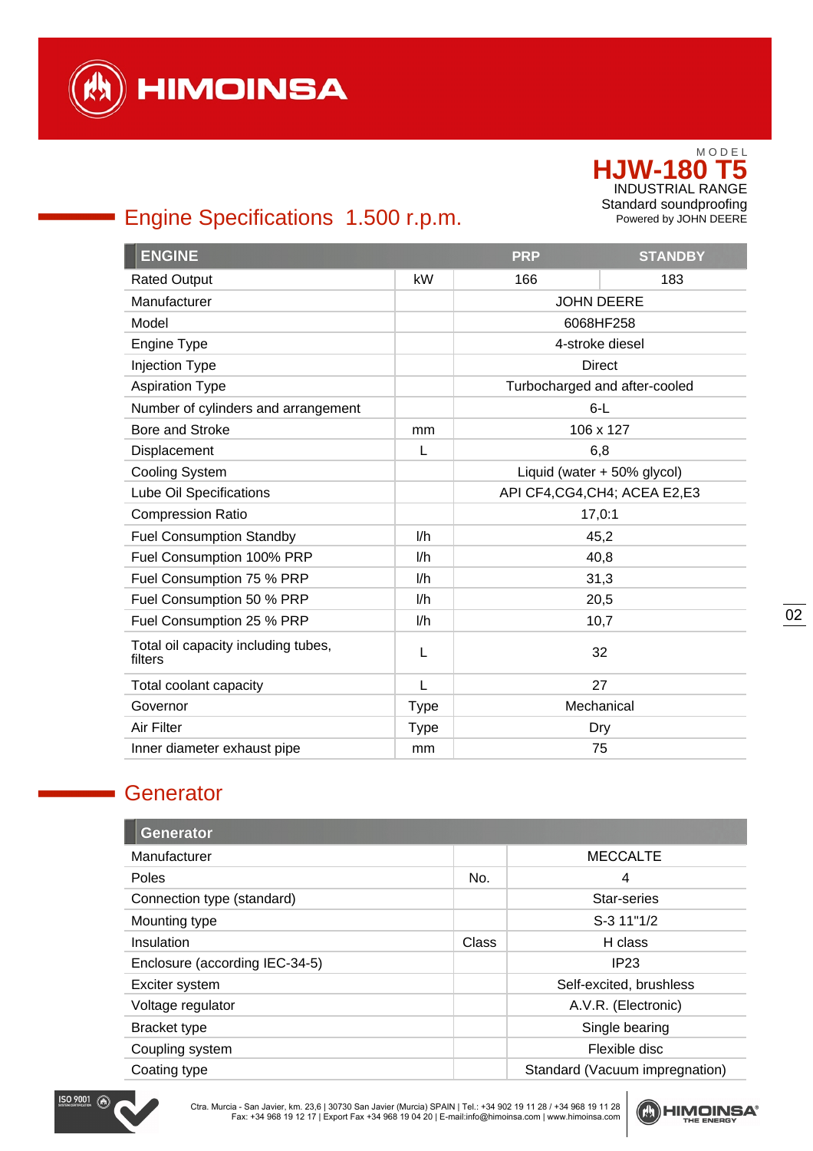

# Engine Specifications 1.500 r.p.m.

| <b>ENGINE</b>                                  |             | <b>PRP</b>                     | <b>STANDBY</b>                |
|------------------------------------------------|-------------|--------------------------------|-------------------------------|
| <b>Rated Output</b>                            | kW          | 166                            | 183                           |
| Manufacturer                                   |             | <b>JOHN DEERE</b>              |                               |
| Model                                          |             | 6068HF258                      |                               |
| Engine Type                                    |             | 4-stroke diesel                |                               |
| <b>Injection Type</b>                          |             |                                | <b>Direct</b>                 |
| <b>Aspiration Type</b>                         |             |                                | Turbocharged and after-cooled |
| Number of cylinders and arrangement            |             | $6-L$                          |                               |
| <b>Bore and Stroke</b>                         | mm          |                                | 106 x 127                     |
| Displacement                                   | L           | 6,8                            |                               |
| Cooling System                                 |             | Liquid (water + 50% glycol)    |                               |
| Lube Oil Specifications                        |             | API CF4, CG4, CH4; ACEA E2, E3 |                               |
| <b>Compression Ratio</b>                       |             | 17,0:1                         |                               |
| <b>Fuel Consumption Standby</b>                | 1/h         | 45,2                           |                               |
| Fuel Consumption 100% PRP                      | I/h         | 40,8                           |                               |
| Fuel Consumption 75 % PRP                      | l/h         | 31,3                           |                               |
| Fuel Consumption 50 % PRP                      | l/h         | 20,5                           |                               |
| Fuel Consumption 25 % PRP                      | l/h         | 10,7                           |                               |
| Total oil capacity including tubes,<br>filters | L           | 32                             |                               |
| Total coolant capacity                         | L           |                                | 27                            |
| Governor                                       | <b>Type</b> | Mechanical                     |                               |
| Air Filter                                     | <b>Type</b> | Dry                            |                               |
| Inner diameter exhaust pipe                    | mm          | 75                             |                               |

## **Generator**

| <b>Generator</b>               |       |                                |
|--------------------------------|-------|--------------------------------|
| Manufacturer                   |       | <b>MECCALTE</b>                |
| Poles                          | No.   | 4                              |
| Connection type (standard)     |       | Star-series                    |
| Mounting type                  |       | S-3 11"1/2                     |
| Insulation                     | Class | H class                        |
| Enclosure (according IEC-34-5) |       | IP23                           |
| Exciter system                 |       | Self-excited, brushless        |
| Voltage regulator              |       | A.V.R. (Electronic)            |
| Bracket type                   |       | Single bearing                 |
| Coupling system                |       | Flexible disc                  |
| Coating type                   |       | Standard (Vacuum impregnation) |



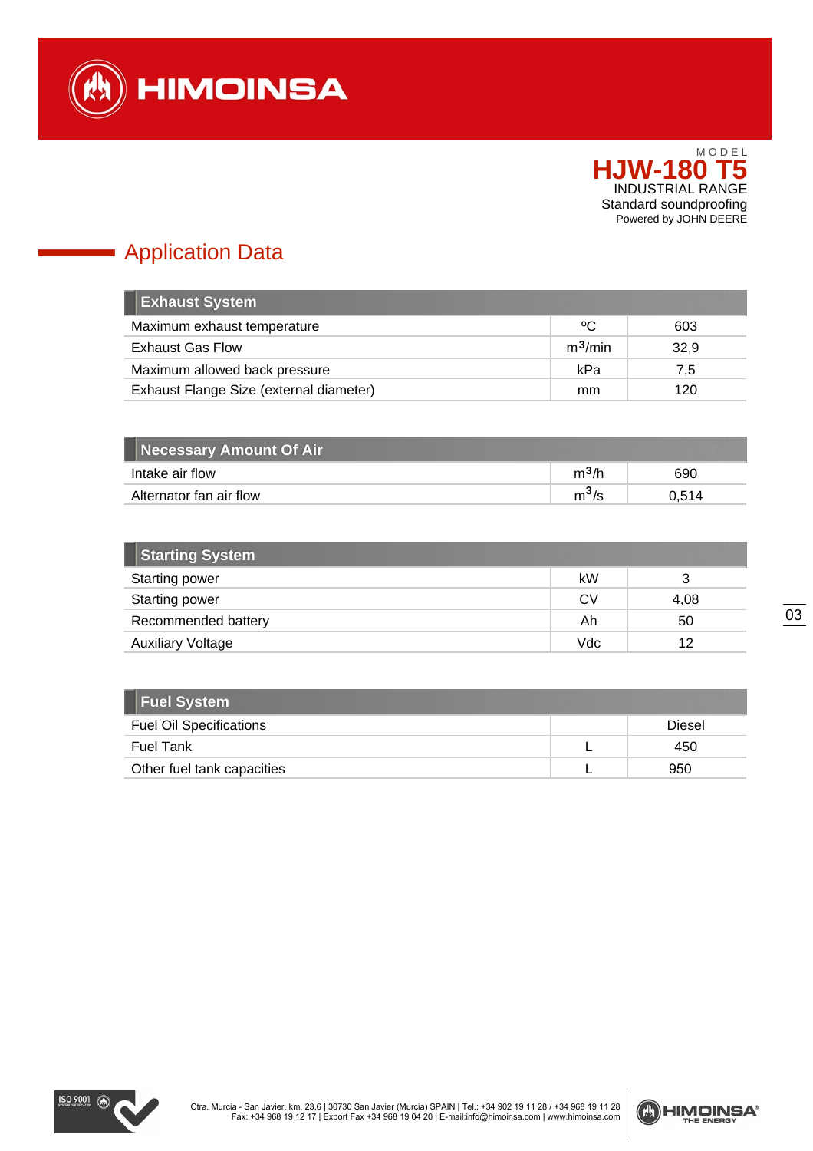

# Application Data

a,

| <b>Exhaust System</b>                   |                     |      |
|-----------------------------------------|---------------------|------|
| Maximum exhaust temperature             | °C                  | 603  |
| <b>Exhaust Gas Flow</b>                 | m <sup>3</sup> /min | 32,9 |
| Maximum allowed back pressure           | kPa                 | 7,5  |
| Exhaust Flange Size (external diameter) | mm                  | 120  |

| Necessary Amount Of Air b |         |       |
|---------------------------|---------|-------|
| Intake air flow           | $m^3/h$ | 690   |
| Alternator fan air flow   | $m^3/s$ | 0.514 |

| <b>Starting System</b>   |     |      |
|--------------------------|-----|------|
| <b>Starting power</b>    | kW  |      |
| Starting power           | CV  | 4,08 |
| Recommended battery      | Ah  | 50   |
| <b>Auxiliary Voltage</b> | Vdc | 12   |

| <b>Fuel System</b>             |        |
|--------------------------------|--------|
| <b>Fuel Oil Specifications</b> | Diesel |
| <b>Fuel Tank</b>               | 450    |
| Other fuel tank capacities     | 950    |



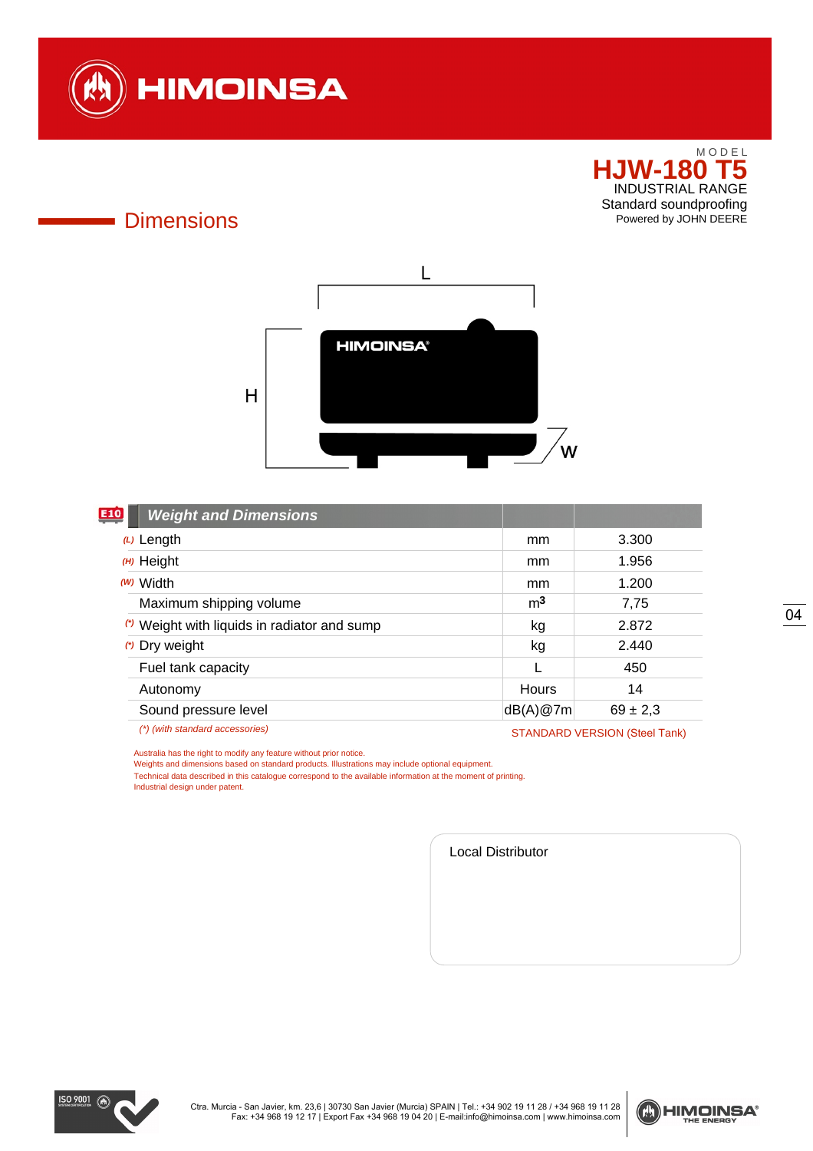

## **Dimensions**



| E10<br><b>Weight and Dimensions</b>          |                |                                      |
|----------------------------------------------|----------------|--------------------------------------|
| $(L)$ Length                                 | mm             | 3.300                                |
| $(H)$ Height                                 | mm             | 1.956                                |
| ( <i>w</i> ) Width                           | mm             | 1.200                                |
| Maximum shipping volume                      | m <sup>3</sup> | 7,75                                 |
| (*) Weight with liquids in radiator and sump | kg             | 2.872                                |
| (*) Dry weight                               | kg             | 2.440                                |
| Fuel tank capacity                           |                | 450                                  |
| Autonomy                                     | Hours          | 14                                   |
| Sound pressure level                         | dB(A)@7m       | $69 \pm 2.3$                         |
| (*) (with standard accessories)              |                | <b>STANDARD VERSION (Steel Tank)</b> |

Australia has the right to modify any feature without prior notice.

Weights and dimensions based on standard products. Illustrations may include optional equipment.

Technical data described in this catalogue correspond to the available information at the moment of printing.

Industrial design under patent.

Local Distributor



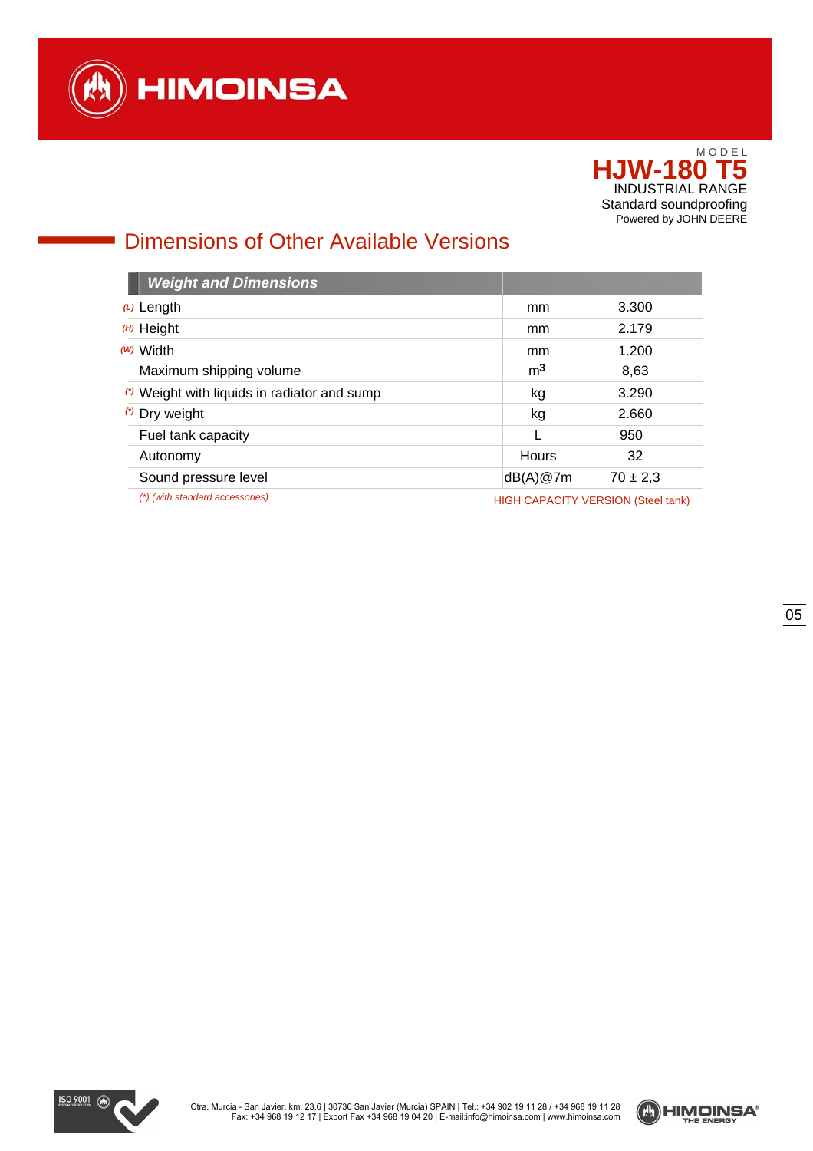

# Dimensions of Other Available Versions

| <b>Weight and Dimensions</b>                 |                                           |              |
|----------------------------------------------|-------------------------------------------|--------------|
| $(L)$ Length                                 | mm                                        | 3.300        |
| $(H)$ Height                                 | mm                                        | 2.179        |
| (W) Width                                    | mm                                        | 1.200        |
| Maximum shipping volume                      | m <sup>3</sup>                            | 8,63         |
| (*) Weight with liquids in radiator and sump | kg                                        | 3.290        |
| (*) Dry weight                               | kg                                        | 2.660        |
| Fuel tank capacity                           |                                           | 950          |
| Autonomy                                     | Hours                                     | 32           |
| Sound pressure level                         | dB(A)@7m                                  | $70 \pm 2.3$ |
| (*) (with standard accessories)              | <b>HIGH CAPACITY VERSION (Steel tank)</b> |              |



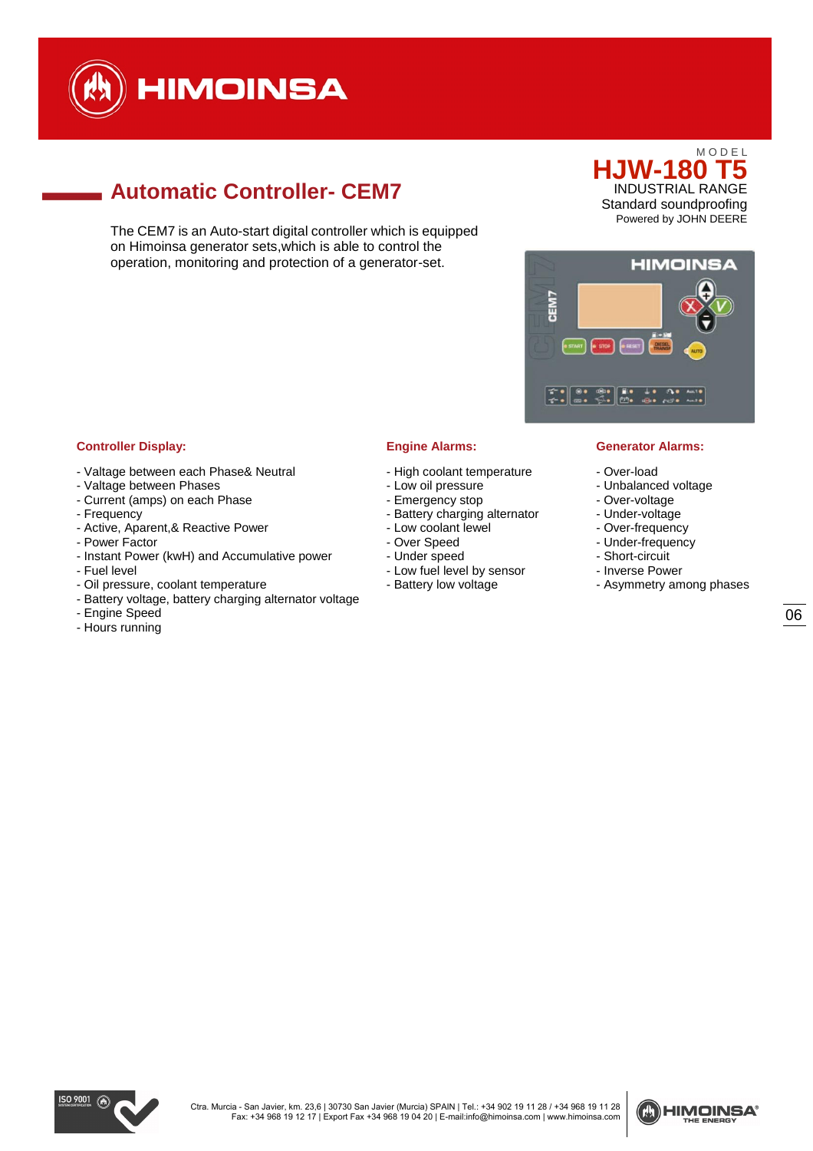

# **Automatic Controller- CEM7**

The CEM7 is an Auto-start digital controller which is equipped on Himoinsa generator sets,which is able to control the operation, monitoring and protection of a generator-set.





### **Controller Display: Engine Alarms: Generator Alarms:**

- Valtage between each Phase& Neutral
- Valtage between Phases
- Current (amps) on each Phase
- Frequency
- Active, Aparent,& Reactive Power
- Power Factor
- Instant Power (kwH) and Accumulative power
- Fuel level
- Oil pressure, coolant temperature
- Battery voltage, battery charging alternator voltage
- Engine Speed
- Hours running

- High coolant temperature
- Low oil pressure
- Emergency stop
- Battery charging alternator
- Low coolant lewel
- Over Speed
- Under speed
- Low fuel level by sensor
- Battery low voltage

- Over-load
- Unbalanced voltage
- Over-voltage
- Under-voltage
- Over-frequency
- Under-frequency
- Short-circuit
- Inverse Power
- Asymmetry among phases